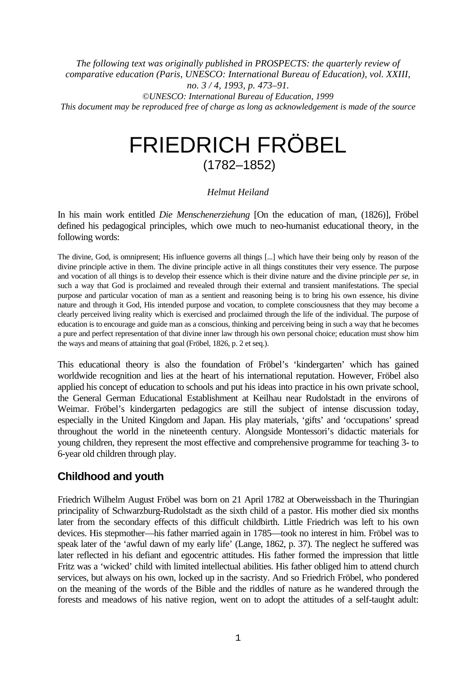*The following text was originally published in PROSPECTS: the quarterly review of comparative education (Paris, UNESCO: International Bureau of Education), vol. XXIII, no. 3 / 4, 1993, p. 473–91.*

*©UNESCO: International Bureau of Education, 1999 This document may be reproduced free of charge as long as acknowledgement is made of the source*

# FRIEDRICH FRÖBEL (1782–1852)

#### *Helmut Heiland*

In his main work entitled *Die Menschenerziehung* [On the education of man, (1826)], Fröbel defined his pedagogical principles, which owe much to neo-humanist educational theory, in the following words:

The divine, God, is omnipresent; His influence governs all things [...] which have their being only by reason of the divine principle active in them. The divine principle active in all things constitutes their very essence. The purpose and vocation of all things is to develop their essence which is their divine nature and the divine principle *per se*, in such a way that God is proclaimed and revealed through their external and transient manifestations. The special purpose and particular vocation of man as a sentient and reasoning being is to bring his own essence, his divine nature and through it God, His intended purpose and vocation, to complete consciousness that they may become a clearly perceived living reality which is exercised and proclaimed through the life of the individual. The purpose of education is to encourage and guide man as a conscious, thinking and perceiving being in such a way that he becomes a pure and perfect representation of that divine inner law through his own personal choice; education must show him the ways and means of attaining that goal (Fröbel, 1826, p. 2 et seq.).

This educational theory is also the foundation of Fröbel's 'kindergarten' which has gained worldwide recognition and lies at the heart of his international reputation. However, Fröbel also applied his concept of education to schools and put his ideas into practice in his own private school, the General German Educational Establishment at Keilhau near Rudolstadt in the environs of Weimar. Fröbel's kindergarten pedagogics are still the subject of intense discussion today, especially in the United Kingdom and Japan. His play materials, 'gifts' and 'occupations' spread throughout the world in the nineteenth century. Alongside Montessori's didactic materials for young children, they represent the most effective and comprehensive programme for teaching 3- to 6-year old children through play.

# **Childhood and youth**

Friedrich Wilhelm August Fröbel was born on 21 April 1782 at Oberweissbach in the Thuringian principality of Schwarzburg-Rudolstadt as the sixth child of a pastor. His mother died six months later from the secondary effects of this difficult childbirth. Little Friedrich was left to his own devices. His stepmother—his father married again in 1785—took no interest in him. Fröbel was to speak later of the 'awful dawn of my early life' (Lange, 1862, p. 37). The neglect he suffered was later reflected in his defiant and egocentric attitudes. His father formed the impression that little Fritz was a 'wicked' child with limited intellectual abilities. His father obliged him to attend church services, but always on his own, locked up in the sacristy. And so Friedrich Fröbel, who pondered on the meaning of the words of the Bible and the riddles of nature as he wandered through the forests and meadows of his native region, went on to adopt the attitudes of a self-taught adult: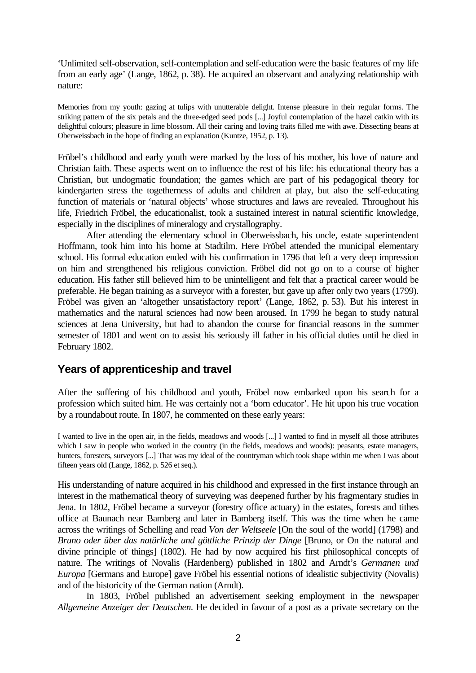'Unlimited self-observation, self-contemplation and self-education were the basic features of my life from an early age' (Lange, 1862, p. 38). He acquired an observant and analyzing relationship with nature:

Memories from my youth: gazing at tulips with unutterable delight. Intense pleasure in their regular forms. The striking pattern of the six petals and the three-edged seed pods [...] Joyful contemplation of the hazel catkin with its delightful colours; pleasure in lime blossom. All their caring and loving traits filled me with awe. Dissecting beans at Oberweissbach in the hope of finding an explanation (Kuntze, 1952, p. 13).

Fröbel's childhood and early youth were marked by the loss of his mother, his love of nature and Christian faith. These aspects went on to influence the rest of his life: his educational theory has a Christian, but undogmatic foundation; the games which are part of his pedagogical theory for kindergarten stress the togetherness of adults and children at play, but also the self-educating function of materials or 'natural objects' whose structures and laws are revealed. Throughout his life, Friedrich Fröbel, the educationalist, took a sustained interest in natural scientific knowledge, especially in the disciplines of mineralogy and crystallography.

After attending the elementary school in Oberweissbach, his uncle, estate superintendent Hoffmann, took him into his home at Stadtilm. Here Fröbel attended the municipal elementary school. His formal education ended with his confirmation in 1796 that left a very deep impression on him and strengthened his religious conviction. Fröbel did not go on to a course of higher education. His father still believed him to be unintelligent and felt that a practical career would be preferable. He began training as a surveyor with a forester, but gave up after only two years (1799). Fröbel was given an 'altogether unsatisfactory report' (Lange, 1862, p. 53). But his interest in mathematics and the natural sciences had now been aroused. In 1799 he began to study natural sciences at Jena University, but had to abandon the course for financial reasons in the summer semester of 1801 and went on to assist his seriously ill father in his official duties until he died in February 1802.

## **Years of apprenticeship and travel**

After the suffering of his childhood and youth, Fröbel now embarked upon his search for a profession which suited him. He was certainly not a 'born educator'. He hit upon his true vocation by a roundabout route. In 1807, he commented on these early years:

I wanted to live in the open air, in the fields, meadows and woods [...] I wanted to find in myself all those attributes which I saw in people who worked in the country (in the fields, meadows and woods): peasants, estate managers, hunters, foresters, surveyors [...] That was my ideal of the countryman which took shape within me when I was about fifteen years old (Lange, 1862, p. 526 et seq.).

His understanding of nature acquired in his childhood and expressed in the first instance through an interest in the mathematical theory of surveying was deepened further by his fragmentary studies in Jena. In 1802, Fröbel became a surveyor (forestry office actuary) in the estates, forests and tithes office at Baunach near Bamberg and later in Bamberg itself. This was the time when he came across the writings of Schelling and read *Von der Weltseele* [On the soul of the world] (1798) and *Bruno oder über das natürliche und göttliche Prinzip der Dinge* [Bruno, or On the natural and divine principle of things] (1802). He had by now acquired his first philosophical concepts of nature. The writings of Novalis (Hardenberg) published in 1802 and Arndt's *Germanen und Europa* [Germans and Europe] gave Fröbel his essential notions of idealistic subjectivity (Novalis) and of the historicity of the German nation (Arndt).

In 1803, Fröbel published an advertisement seeking employment in the newspaper *Allgemeine Anzeiger der Deutschen*. He decided in favour of a post as a private secretary on the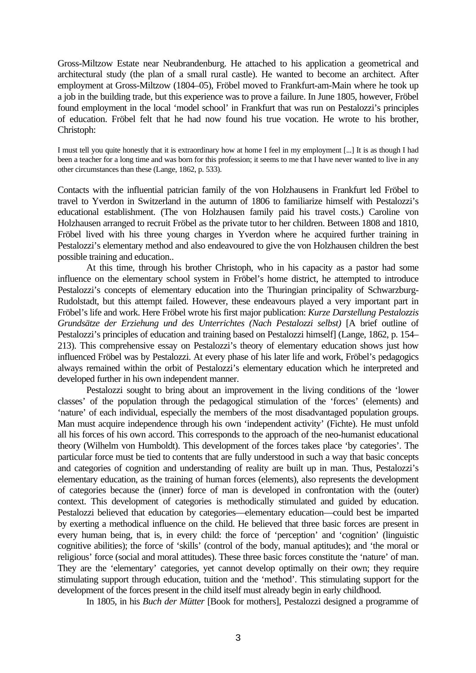Gross-Miltzow Estate near Neubrandenburg. He attached to his application a geometrical and architectural study (the plan of a small rural castle). He wanted to become an architect. After employment at Gross-Miltzow (1804–05), Fröbel moved to Frankfurt-am-Main where he took up a job in the building trade, but this experience was to prove a failure. In June 1805, however, Fröbel found employment in the local 'model school' in Frankfurt that was run on Pestalozzi's principles of education. Fröbel felt that he had now found his true vocation. He wrote to his brother, Christoph:

I must tell you quite honestly that it is extraordinary how at home I feel in my employment [...] It is as though I had been a teacher for a long time and was born for this profession; it seems to me that I have never wanted to live in any other circumstances than these (Lange, 1862, p. 533).

Contacts with the influential patrician family of the von Holzhausens in Frankfurt led Fröbel to travel to Yverdon in Switzerland in the autumn of 1806 to familiarize himself with Pestalozzi's educational establishment. (The von Holzhausen family paid his travel costs.) Caroline von Holzhausen arranged to recruit Fröbel as the private tutor to her children. Between 1808 and 1810, Fröbel lived with his three young charges in Yverdon where he acquired further training in Pestalozzi's elementary method and also endeavoured to give the von Holzhausen children the best possible training and education..

At this time, through his brother Christoph, who in his capacity as a pastor had some influence on the elementary school system in Fröbel's home district, he attempted to introduce Pestalozzi's concepts of elementary education into the Thuringian principality of Schwarzburg-Rudolstadt, but this attempt failed. However, these endeavours played a very important part in Fröbel's life and work. Here Fröbel wrote his first major publication: *Kurze Darstellung Pestalozzis Grundsätze der Erziehung und des Unterrichtes (Nach Pestalozzi selbst)* [A brief outline of Pestalozzi's principles of education and training based on Pestalozzi himself] (Lange, 1862, p. 154– 213). This comprehensive essay on Pestalozzi's theory of elementary education shows just how influenced Fröbel was by Pestalozzi. At every phase of his later life and work, Fröbel's pedagogics always remained within the orbit of Pestalozzi's elementary education which he interpreted and developed further in his own independent manner.

Pestalozzi sought to bring about an improvement in the living conditions of the 'lower classes' of the population through the pedagogical stimulation of the 'forces' (elements) and 'nature' of each individual, especially the members of the most disadvantaged population groups. Man must acquire independence through his own 'independent activity' (Fichte). He must unfold all his forces of his own accord. This corresponds to the approach of the neo-humanist educational theory (Wilhelm von Humboldt). This development of the forces takes place 'by categories'. The particular force must be tied to contents that are fully understood in such a way that basic concepts and categories of cognition and understanding of reality are built up in man. Thus, Pestalozzi's elementary education, as the training of human forces (elements), also represents the development of categories because the (inner) force of man is developed in confrontation with the (outer) context. This development of categories is methodically stimulated and guided by education. Pestalozzi believed that education by categories—elementary education—could best be imparted by exerting a methodical influence on the child. He believed that three basic forces are present in every human being, that is, in every child: the force of 'perception' and 'cognition' (linguistic cognitive abilities); the force of 'skills' (control of the body, manual aptitudes); and 'the moral or religious' force (social and moral attitudes). These three basic forces constitute the 'nature' of man. They are the 'elementary' categories, yet cannot develop optimally on their own; they require stimulating support through education, tuition and the 'method'. This stimulating support for the development of the forces present in the child itself must already begin in early childhood.

In 1805, in his *Buch der Mütter* [Book for mothers], Pestalozzi designed a programme of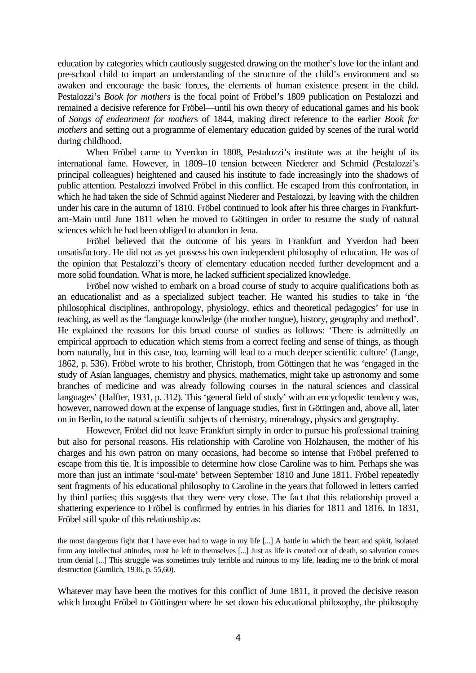education by categories which cautiously suggested drawing on the mother's love for the infant and pre-school child to impart an understanding of the structure of the child's environment and so awaken and encourage the basic forces, the elements of human existence present in the child. Pestalozzi's *Book for mothers* is the focal point of Fröbel's 1809 publication on Pestalozzi and remained a decisive reference for Fröbel—until his own theory of educational games and his book of *Songs of endearment for mother*s of 1844, making direct reference to the earlier *Book for mothers* and setting out a programme of elementary education guided by scenes of the rural world during childhood.

When Fröbel came to Yverdon in 1808, Pestalozzi's institute was at the height of its international fame. However, in 1809–10 tension between Niederer and Schmid (Pestalozzi's principal colleagues) heightened and caused his institute to fade increasingly into the shadows of public attention. Pestalozzi involved Fröbel in this conflict. He escaped from this confrontation, in which he had taken the side of Schmid against Niederer and Pestalozzi, by leaving with the children under his care in the autumn of 1810. Fröbel continued to look after his three charges in Frankfurtam-Main until June 1811 when he moved to Göttingen in order to resume the study of natural sciences which he had been obliged to abandon in Jena.

Fröbel believed that the outcome of his years in Frankfurt and Yverdon had been unsatisfactory. He did not as yet possess his own independent philosophy of education. He was of the opinion that Pestalozzi's theory of elementary education needed further development and a more solid foundation. What is more, he lacked sufficient specialized knowledge.

Fröbel now wished to embark on a broad course of study to acquire qualifications both as an educationalist and as a specialized subject teacher. He wanted his studies to take in 'the philosophical disciplines, anthropology, physiology, ethics and theoretical pedagogics' for use in teaching, as well as the 'language knowledge (the mother tongue), history, geography and method'. He explained the reasons for this broad course of studies as follows: 'There is admittedly an empirical approach to education which stems from a correct feeling and sense of things, as though born naturally, but in this case, too, learning will lead to a much deeper scientific culture' (Lange, 1862, p. 536). Fröbel wrote to his brother, Christoph, from Göttingen that he was 'engaged in the study of Asian languages, chemistry and physics, mathematics, might take up astronomy and some branches of medicine and was already following courses in the natural sciences and classical languages' (Halfter, 1931, p. 312). This 'general field of study' with an encyclopedic tendency was, however, narrowed down at the expense of language studies, first in Göttingen and, above all, later on in Berlin, to the natural scientific subjects of chemistry, mineralogy, physics and geography.

However, Fröbel did not leave Frankfurt simply in order to pursue his professional training but also for personal reasons. His relationship with Caroline von Holzhausen, the mother of his charges and his own patron on many occasions, had become so intense that Fröbel preferred to escape from this tie. It is impossible to determine how close Caroline was to him. Perhaps she was more than just an intimate 'soul-mate' between September 1810 and June 1811. Fröbel repeatedly sent fragments of his educational philosophy to Caroline in the years that followed in letters carried by third parties; this suggests that they were very close. The fact that this relationship proved a shattering experience to Fröbel is confirmed by entries in his diaries for 1811 and 1816. In 1831, Fröbel still spoke of this relationship as:

the most dangerous fight that I have ever had to wage in my life [...] A battle in which the heart and spirit, isolated from any intellectual attitudes, must be left to themselves [...] Just as life is created out of death, so salvation comes from denial [...] This struggle was sometimes truly terrible and ruinous to my life, leading me to the brink of moral destruction (Gumlich, 1936, p. 55,60).

Whatever may have been the motives for this conflict of June 1811, it proved the decisive reason which brought Fröbel to Göttingen where he set down his educational philosophy, the philosophy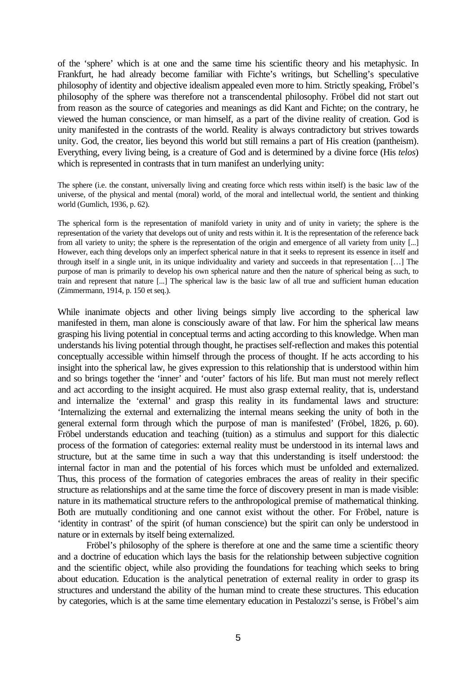of the 'sphere' which is at one and the same time his scientific theory and his metaphysic. In Frankfurt, he had already become familiar with Fichte's writings, but Schelling's speculative philosophy of identity and objective idealism appealed even more to him. Strictly speaking, Fröbel's philosophy of the sphere was therefore not a transcendental philosophy. Fröbel did not start out from reason as the source of categories and meanings as did Kant and Fichte; on the contrary, he viewed the human conscience, or man himself, as a part of the divine reality of creation. God is unity manifested in the contrasts of the world. Reality is always contradictory but strives towards unity. God, the creator, lies beyond this world but still remains a part of His creation (pantheism). Everything, every living being, is a creature of God and is determined by a divine force (His *telos*) which is represented in contrasts that in turn manifest an underlying unity:

The sphere (i.e. the constant, universally living and creating force which rests within itself) is the basic law of the universe, of the physical and mental (moral) world, of the moral and intellectual world, the sentient and thinking world (Gumlich, 1936, p. 62).

The spherical form is the representation of manifold variety in unity and of unity in variety; the sphere is the representation of the variety that develops out of unity and rests within it. It is the representation of the reference back from all variety to unity; the sphere is the representation of the origin and emergence of all variety from unity [...] However, each thing develops only an imperfect spherical nature in that it seeks to represent its essence in itself and through itself in a single unit, in its unique individuality and variety and succeeds in that representation […] The purpose of man is primarily to develop his own spherical nature and then the nature of spherical being as such, to train and represent that nature [...] The spherical law is the basic law of all true and sufficient human education (Zimmermann, 1914, p. 150 et seq.).

While inanimate objects and other living beings simply live according to the spherical law manifested in them, man alone is consciously aware of that law. For him the spherical law means grasping his living potential in conceptual terms and acting according to this knowledge. When man understands his living potential through thought, he practises self-reflection and makes this potential conceptually accessible within himself through the process of thought. If he acts according to his insight into the spherical law, he gives expression to this relationship that is understood within him and so brings together the 'inner' and 'outer' factors of his life. But man must not merely reflect and act according to the insight acquired. He must also grasp external reality, that is, understand and internalize the 'external' and grasp this reality in its fundamental laws and structure: 'Internalizing the external and externalizing the internal means seeking the unity of both in the general external form through which the purpose of man is manifested' (Fröbel, 1826, p. 60). Fröbel understands education and teaching (tuition) as a stimulus and support for this dialectic process of the formation of categories: external reality must be understood in its internal laws and structure, but at the same time in such a way that this understanding is itself understood: the internal factor in man and the potential of his forces which must be unfolded and externalized. Thus, this process of the formation of categories embraces the areas of reality in their specific structure as relationships and at the same time the force of discovery present in man is made visible: nature in its mathematical structure refers to the anthropological premise of mathematical thinking. Both are mutually conditioning and one cannot exist without the other. For Fröbel, nature is 'identity in contrast' of the spirit (of human conscience) but the spirit can only be understood in nature or in externals by itself being externalized.

Fröbel's philosophy of the sphere is therefore at one and the same time a scientific theory and a doctrine of education which lays the basis for the relationship between subjective cognition and the scientific object, while also providing the foundations for teaching which seeks to bring about education. Education is the analytical penetration of external reality in order to grasp its structures and understand the ability of the human mind to create these structures. This education by categories, which is at the same time elementary education in Pestalozzi's sense, is Fröbel's aim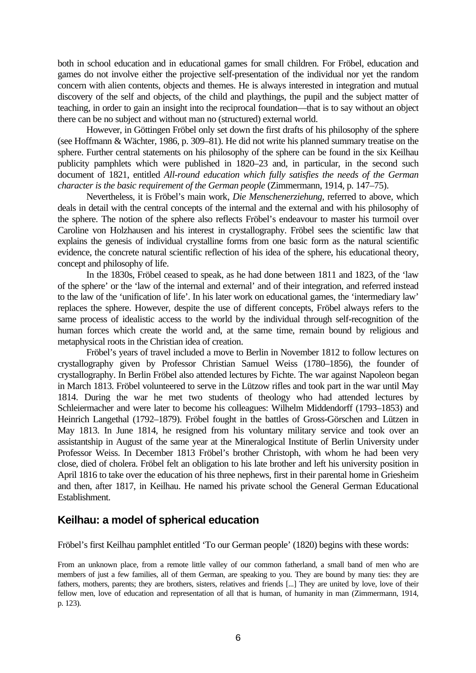both in school education and in educational games for small children. For Fröbel, education and games do not involve either the projective self-presentation of the individual nor yet the random concern with alien contents, objects and themes. He is always interested in integration and mutual discovery of the self and objects, of the child and playthings, the pupil and the subject matter of teaching, in order to gain an insight into the reciprocal foundation—that is to say without an object there can be no subject and without man no (structured) external world.

However, in Göttingen Fröbel only set down the first drafts of his philosophy of the sphere (see Hoffmann & Wächter, 1986, p. 309–81). He did not write his planned summary treatise on the sphere. Further central statements on his philosophy of the sphere can be found in the six Keilhau publicity pamphlets which were published in 1820–23 and, in particular, in the second such document of 1821, entitled *All-round education which fully satisfies the needs of the German character is the basic requirement of the German people* (Zimmermann, 1914, p. 147–75).

Nevertheless, it is Fröbel's main work, *Die Menschenerziehung*, referred to above, which deals in detail with the central concepts of the internal and the external and with his philosophy of the sphere. The notion of the sphere also reflects Fröbel's endeavour to master his turmoil over Caroline von Holzhausen and his interest in crystallography. Fröbel sees the scientific law that explains the genesis of individual crystalline forms from one basic form as the natural scientific evidence, the concrete natural scientific reflection of his idea of the sphere, his educational theory, concept and philosophy of life.

In the 1830s, Fröbel ceased to speak, as he had done between 1811 and 1823, of the 'law of the sphere' or the 'law of the internal and external' and of their integration, and referred instead to the law of the 'unification of life'. In his later work on educational games, the 'intermediary law' replaces the sphere. However, despite the use of different concepts, Fröbel always refers to the same process of idealistic access to the world by the individual through self-recognition of the human forces which create the world and, at the same time, remain bound by religious and metaphysical roots in the Christian idea of creation.

Fröbel's years of travel included a move to Berlin in November 1812 to follow lectures on crystallography given by Professor Christian Samuel Weiss (1780–1856), the founder of crystallography. In Berlin Fröbel also attended lectures by Fichte. The war against Napoleon began in March 1813. Fröbel volunteered to serve in the Lützow rifles and took part in the war until May 1814. During the war he met two students of theology who had attended lectures by Schleiermacher and were later to become his colleagues: Wilhelm Middendorff (1793–1853) and Heinrich Langethal (1792–1879). Fröbel fought in the battles of Gross-Görschen and Lützen in May 1813. In June 1814, he resigned from his voluntary military service and took over an assistantship in August of the same year at the Mineralogical Institute of Berlin University under Professor Weiss. In December 1813 Fröbel's brother Christoph, with whom he had been very close, died of cholera. Fröbel felt an obligation to his late brother and left his university position in April 1816 to take over the education of his three nephews, first in their parental home in Griesheim and then, after 1817, in Keilhau. He named his private school the General German Educational Establishment.

## **Keilhau: a model of spherical education**

Fröbel's first Keilhau pamphlet entitled 'To our German people' (1820) begins with these words:

From an unknown place, from a remote little valley of our common fatherland, a small band of men who are members of just a few families, all of them German, are speaking to you. They are bound by many ties: they are fathers, mothers, parents; they are brothers, sisters, relatives and friends [...] They are united by love, love of their fellow men, love of education and representation of all that is human, of humanity in man (Zimmermann, 1914, p. 123).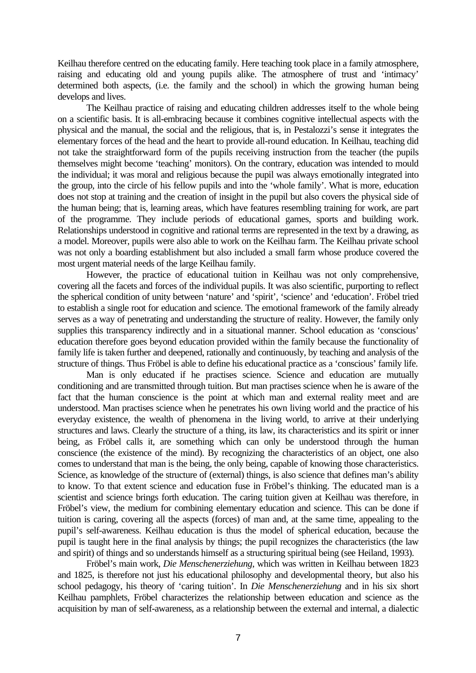Keilhau therefore centred on the educating family. Here teaching took place in a family atmosphere, raising and educating old and young pupils alike. The atmosphere of trust and 'intimacy' determined both aspects, (i.e. the family and the school) in which the growing human being develops and lives.

The Keilhau practice of raising and educating children addresses itself to the whole being on a scientific basis. It is all-embracing because it combines cognitive intellectual aspects with the physical and the manual, the social and the religious, that is, in Pestalozzi's sense it integrates the elementary forces of the head and the heart to provide all-round education. In Keilhau, teaching did not take the straightforward form of the pupils receiving instruction from the teacher (the pupils themselves might become 'teaching' monitors). On the contrary, education was intended to mould the individual; it was moral and religious because the pupil was always emotionally integrated into the group, into the circle of his fellow pupils and into the 'whole family'. What is more, education does not stop at training and the creation of insight in the pupil but also covers the physical side of the human being; that is, learning areas, which have features resembling training for work, are part of the programme. They include periods of educational games, sports and building work. Relationships understood in cognitive and rational terms are represented in the text by a drawing, as a model. Moreover, pupils were also able to work on the Keilhau farm. The Keilhau private school was not only a boarding establishment but also included a small farm whose produce covered the most urgent material needs of the large Keilhau family.

However, the practice of educational tuition in Keilhau was not only comprehensive, covering all the facets and forces of the individual pupils. It was also scientific, purporting to reflect the spherical condition of unity between 'nature' and 'spirit', 'science' and 'education'. Fröbel tried to establish a single root for education and science. The emotional framework of the family already serves as a way of penetrating and understanding the structure of reality. However, the family only supplies this transparency indirectly and in a situational manner. School education as 'conscious' education therefore goes beyond education provided within the family because the functionality of family life is taken further and deepened, rationally and continuously, by teaching and analysis of the structure of things. Thus Fröbel is able to define his educational practice as a 'conscious' family life.

Man is only educated if he practises science. Science and education are mutually conditioning and are transmitted through tuition. But man practises science when he is aware of the fact that the human conscience is the point at which man and external reality meet and are understood. Man practises science when he penetrates his own living world and the practice of his everyday existence, the wealth of phenomena in the living world, to arrive at their underlying structures and laws. Clearly the structure of a thing, its law, its characteristics and its spirit or inner being, as Fröbel calls it, are something which can only be understood through the human conscience (the existence of the mind). By recognizing the characteristics of an object, one also comes to understand that man is the being, the only being, capable of knowing those characteristics. Science, as knowledge of the structure of (external) things, is also science that defines man's ability to know. To that extent science and education fuse in Fröbel's thinking. The educated man is a scientist and science brings forth education. The caring tuition given at Keilhau was therefore, in Fröbel's view, the medium for combining elementary education and science. This can be done if tuition is caring, covering all the aspects (forces) of man and, at the same time, appealing to the pupil's self-awareness. Keilhau education is thus the model of spherical education, because the pupil is taught here in the final analysis by things; the pupil recognizes the characteristics (the law and spirit) of things and so understands himself as a structuring spiritual being (see Heiland, 1993).

Fröbel's main work, *Die Menschenerziehung*, which was written in Keilhau between 1823 and 1825, is therefore not just his educational philosophy and developmental theory, but also his school pedagogy, his theory of 'caring tuition'. In *Die Menschenerziehung* and in his six short Keilhau pamphlets, Fröbel characterizes the relationship between education and science as the acquisition by man of self-awareness, as a relationship between the external and internal, a dialectic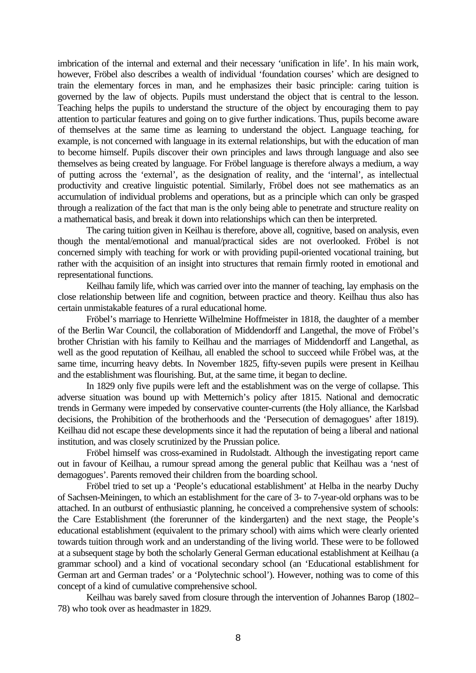imbrication of the internal and external and their necessary 'unification in life'. In his main work, however, Fröbel also describes a wealth of individual 'foundation courses' which are designed to train the elementary forces in man, and he emphasizes their basic principle: caring tuition is governed by the law of objects. Pupils must understand the object that is central to the lesson. Teaching helps the pupils to understand the structure of the object by encouraging them to pay attention to particular features and going on to give further indications. Thus, pupils become aware of themselves at the same time as learning to understand the object. Language teaching, for example, is not concerned with language in its external relationships, but with the education of man to become himself. Pupils discover their own principles and laws through language and also see themselves as being created by language. For Fröbel language is therefore always a medium, a way of putting across the 'external', as the designation of reality, and the 'internal', as intellectual productivity and creative linguistic potential. Similarly, Fröbel does not see mathematics as an accumulation of individual problems and operations, but as a principle which can only be grasped through a realization of the fact that man is the only being able to penetrate and structure reality on a mathematical basis, and break it down into relationships which can then be interpreted.

The caring tuition given in Keilhau is therefore, above all, cognitive, based on analysis, even though the mental/emotional and manual/practical sides are not overlooked. Fröbel is not concerned simply with teaching for work or with providing pupil-oriented vocational training, but rather with the acquisition of an insight into structures that remain firmly rooted in emotional and representational functions.

Keilhau family life, which was carried over into the manner of teaching, lay emphasis on the close relationship between life and cognition, between practice and theory. Keilhau thus also has certain unmistakable features of a rural educational home.

Fröbel's marriage to Henriette Wilhelmine Hoffmeister in 1818, the daughter of a member of the Berlin War Council, the collaboration of Middendorff and Langethal, the move of Fröbel's brother Christian with his family to Keilhau and the marriages of Middendorff and Langethal, as well as the good reputation of Keilhau, all enabled the school to succeed while Fröbel was, at the same time, incurring heavy debts. In November 1825, fifty-seven pupils were present in Keilhau and the establishment was flourishing. But, at the same time, it began to decline.

In 1829 only five pupils were left and the establishment was on the verge of collapse. This adverse situation was bound up with Metternich's policy after 1815. National and democratic trends in Germany were impeded by conservative counter-currents (the Holy alliance, the Karlsbad decisions, the Prohibition of the brotherhoods and the 'Persecution of demagogues' after 1819). Keilhau did not escape these developments since it had the reputation of being a liberal and national institution, and was closely scrutinized by the Prussian police.

Fröbel himself was cross-examined in Rudolstadt. Although the investigating report came out in favour of Keilhau, a rumour spread among the general public that Keilhau was a 'nest of demagogues'. Parents removed their children from the boarding school.

Fröbel tried to set up a 'People's educational establishment' at Helba in the nearby Duchy of Sachsen-Meiningen, to which an establishment for the care of 3- to 7-year-old orphans was to be attached. In an outburst of enthusiastic planning, he conceived a comprehensive system of schools: the Care Establishment (the forerunner of the kindergarten) and the next stage, the People's educational establishment (equivalent to the primary school) with aims which were clearly oriented towards tuition through work and an understanding of the living world. These were to be followed at a subsequent stage by both the scholarly General German educational establishment at Keilhau (a grammar school) and a kind of vocational secondary school (an 'Educational establishment for German art and German trades' or a 'Polytechnic school'). However, nothing was to come of this concept of a kind of cumulative comprehensive school.

Keilhau was barely saved from closure through the intervention of Johannes Barop (1802– 78) who took over as headmaster in 1829.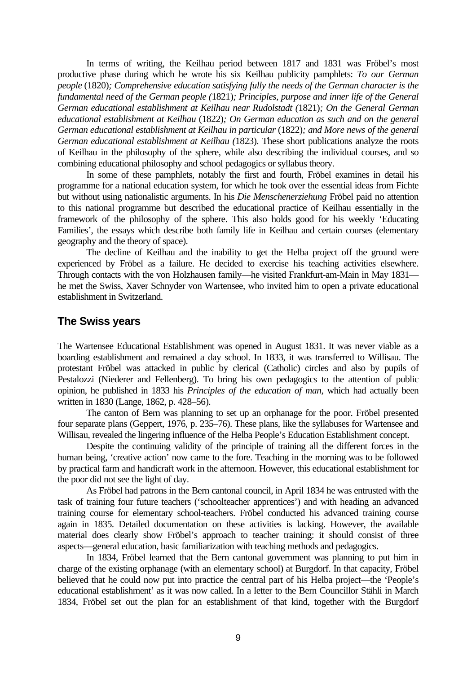In terms of writing, the Keilhau period between 1817 and 1831 was Fröbel's most productive phase during which he wrote his six Keilhau publicity pamphlets: *To our German people* (1820)*; Comprehensive education satisfying fully the needs of the German character is the fundamental need of the German people (*1821)*; Principles, purpose and inner life of the General German educational establishment at Keilhau near Rudolstadt (*1821)*; On the General German educational establishment at Keilhau* (1822)*; On German education as such and on the general German educational establishment at Keilhau in particular* (1822)*; and More news of the general German educational establishment at Keilhau (*1823). These short publications analyze the roots of Keilhau in the philosophy of the sphere, while also describing the individual courses, and so combining educational philosophy and school pedagogics or syllabus theory.

In some of these pamphlets, notably the first and fourth, Fröbel examines in detail his programme for a national education system, for which he took over the essential ideas from Fichte but without using nationalistic arguments. In his *Die Menschenerziehung* Fröbel paid no attention to this national programme but described the educational practice of Keilhau essentially in the framework of the philosophy of the sphere. This also holds good for his weekly 'Educating Families', the essays which describe both family life in Keilhau and certain courses (elementary geography and the theory of space).

The decline of Keilhau and the inability to get the Helba project off the ground were experienced by Fröbel as a failure. He decided to exercise his teaching activities elsewhere. Through contacts with the von Holzhausen family—he visited Frankfurt-am-Main in May 1831 he met the Swiss, Xaver Schnyder von Wartensee, who invited him to open a private educational establishment in Switzerland.

#### **The Swiss years**

The Wartensee Educational Establishment was opened in August 1831. It was never viable as a boarding establishment and remained a day school. In 1833, it was transferred to Willisau. The protestant Fröbel was attacked in public by clerical (Catholic) circles and also by pupils of Pestalozzi (Niederer and Fellenberg). To bring his own pedagogics to the attention of public opinion, he published in 1833 his *Principles of the education of man*, which had actually been written in 1830 (Lange, 1862, p. 428–56).

The canton of Bern was planning to set up an orphanage for the poor. Fröbel presented four separate plans (Geppert, 1976, p. 235–76). These plans, like the syllabuses for Wartensee and Willisau, revealed the lingering influence of the Helba People's Education Establishment concept.

Despite the continuing validity of the principle of training all the different forces in the human being, 'creative action' now came to the fore. Teaching in the morning was to be followed by practical farm and handicraft work in the afternoon. However, this educational establishment for the poor did not see the light of day.

As Fröbel had patrons in the Bern cantonal council, in April 1834 he was entrusted with the task of training four future teachers ('schoolteacher apprentices') and with heading an advanced training course for elementary school-teachers. Fröbel conducted his advanced training course again in 1835. Detailed documentation on these activities is lacking. However, the available material does clearly show Fröbel's approach to teacher training: it should consist of three aspects—general education, basic familiarization with teaching methods and pedagogics.

In 1834, Fröbel learned that the Bern cantonal government was planning to put him in charge of the existing orphanage (with an elementary school) at Burgdorf. In that capacity, Fröbel believed that he could now put into practice the central part of his Helba project—the 'People's educational establishment' as it was now called. In a letter to the Bern Councillor Stähli in March 1834, Fröbel set out the plan for an establishment of that kind, together with the Burgdorf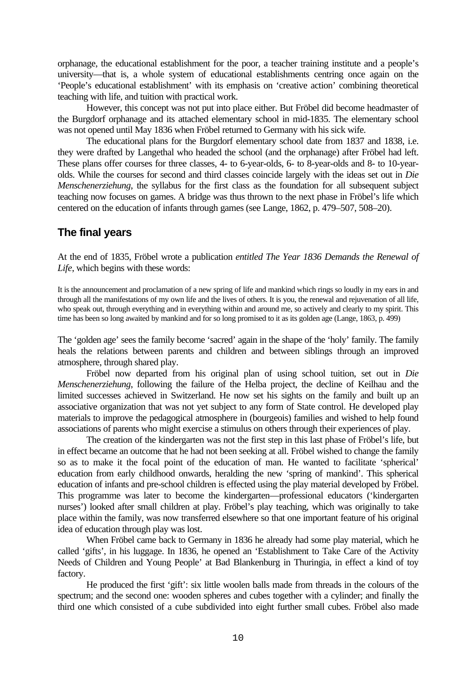orphanage, the educational establishment for the poor, a teacher training institute and a people's university—that is, a whole system of educational establishments centring once again on the 'People's educational establishment' with its emphasis on 'creative action' combining theoretical teaching with life, and tuition with practical work.

However, this concept was not put into place either. But Fröbel did become headmaster of the Burgdorf orphanage and its attached elementary school in mid-1835. The elementary school was not opened until May 1836 when Fröbel returned to Germany with his sick wife.

The educational plans for the Burgdorf elementary school date from 1837 and 1838, i.e. they were drafted by Langethal who headed the school (and the orphanage) after Fröbel had left. These plans offer courses for three classes, 4- to 6-year-olds, 6- to 8-year-olds and 8- to 10-yearolds. While the courses for second and third classes coincide largely with the ideas set out in *Die Menschenerziehung*, the syllabus for the first class as the foundation for all subsequent subject teaching now focuses on games. A bridge was thus thrown to the next phase in Fröbel's life which centered on the education of infants through games (see Lange, 1862, p. 479–507, 508–20).

## **The final years**

At the end of 1835, Fröbel wrote a publication *entitled The Year 1836 Demands the Renewal of Life*, which begins with these words:

It is the announcement and proclamation of a new spring of life and mankind which rings so loudly in my ears in and through all the manifestations of my own life and the lives of others. It is you, the renewal and rejuvenation of all life, who speak out, through everything and in everything within and around me, so actively and clearly to my spirit. This time has been so long awaited by mankind and for so long promised to it as its golden age (Lange, 1863, p. 499)

The 'golden age' sees the family become 'sacred' again in the shape of the 'holy' family. The family heals the relations between parents and children and between siblings through an improved atmosphere, through shared play.

Fröbel now departed from his original plan of using school tuition, set out in *Die Menschenerziehung*, following the failure of the Helba project, the decline of Keilhau and the limited successes achieved in Switzerland. He now set his sights on the family and built up an associative organization that was not yet subject to any form of State control. He developed play materials to improve the pedagogical atmosphere in (bourgeois) families and wished to help found associations of parents who might exercise a stimulus on others through their experiences of play.

The creation of the kindergarten was not the first step in this last phase of Fröbel's life, but in effect became an outcome that he had not been seeking at all. Fröbel wished to change the family so as to make it the focal point of the education of man. He wanted to facilitate 'spherical' education from early childhood onwards, heralding the new 'spring of mankind'. This spherical education of infants and pre-school children is effected using the play material developed by Fröbel. This programme was later to become the kindergarten—professional educators ('kindergarten nurses') looked after small children at play. Fröbel's play teaching, which was originally to take place within the family, was now transferred elsewhere so that one important feature of his original idea of education through play was lost.

When Fröbel came back to Germany in 1836 he already had some play material, which he called 'gifts', in his luggage. In 1836, he opened an 'Establishment to Take Care of the Activity Needs of Children and Young People' at Bad Blankenburg in Thuringia, in effect a kind of toy factory.

He produced the first 'gift': six little woolen balls made from threads in the colours of the spectrum; and the second one: wooden spheres and cubes together with a cylinder; and finally the third one which consisted of a cube subdivided into eight further small cubes. Fröbel also made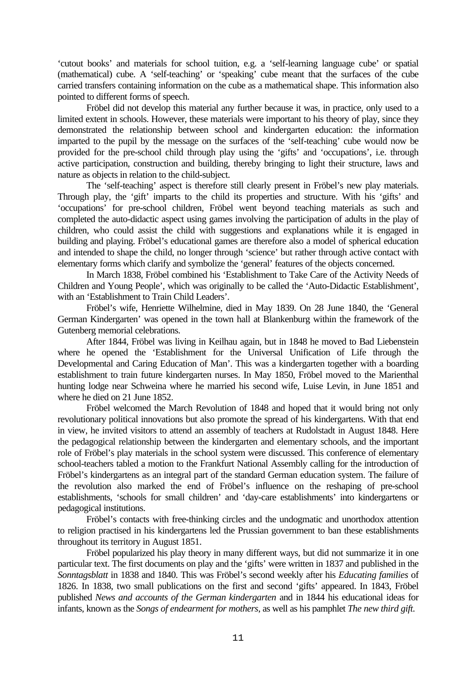'cutout books' and materials for school tuition, e.g. a 'self-learning language cube' or spatial (mathematical) cube. A 'self-teaching' or 'speaking' cube meant that the surfaces of the cube carried transfers containing information on the cube as a mathematical shape. This information also pointed to different forms of speech.

Fröbel did not develop this material any further because it was, in practice, only used to a limited extent in schools. However, these materials were important to his theory of play, since they demonstrated the relationship between school and kindergarten education: the information imparted to the pupil by the message on the surfaces of the 'self-teaching' cube would now be provided for the pre-school child through play using the 'gifts' and 'occupations', i.e. through active participation, construction and building, thereby bringing to light their structure, laws and nature as objects in relation to the child-subject.

The 'self-teaching' aspect is therefore still clearly present in Fröbel's new play materials. Through play, the 'gift' imparts to the child its properties and structure. With his 'gifts' and 'occupations' for pre-school children, Fröbel went beyond teaching materials as such and completed the auto-didactic aspect using games involving the participation of adults in the play of children, who could assist the child with suggestions and explanations while it is engaged in building and playing. Fröbel's educational games are therefore also a model of spherical education and intended to shape the child, no longer through 'science' but rather through active contact with elementary forms which clarify and symbolize the 'general' features of the objects concerned.

In March 1838, Fröbel combined his 'Establishment to Take Care of the Activity Needs of Children and Young People', which was originally to be called the 'Auto-Didactic Establishment', with an 'Establishment to Train Child Leaders'.

Fröbel's wife, Henriette Wilhelmine, died in May 1839. On 28 June 1840, the 'General German Kindergarten' was opened in the town hall at Blankenburg within the framework of the Gutenberg memorial celebrations.

After 1844, Fröbel was living in Keilhau again, but in 1848 he moved to Bad Liebenstein where he opened the 'Establishment for the Universal Unification of Life through the Developmental and Caring Education of Man'. This was a kindergarten together with a boarding establishment to train future kindergarten nurses. In May 1850, Fröbel moved to the Marienthal hunting lodge near Schweina where he married his second wife, Luise Levin, in June 1851 and where he died on 21 June 1852.

Fröbel welcomed the March Revolution of 1848 and hoped that it would bring not only revolutionary political innovations but also promote the spread of his kindergartens. With that end in view, he invited visitors to attend an assembly of teachers at Rudolstadt in August 1848. Here the pedagogical relationship between the kindergarten and elementary schools, and the important role of Fröbel's play materials in the school system were discussed. This conference of elementary school-teachers tabled a motion to the Frankfurt National Assembly calling for the introduction of Fröbel's kindergartens as an integral part of the standard German education system. The failure of the revolution also marked the end of Fröbel's influence on the reshaping of pre-school establishments, 'schools for small children' and 'day-care establishments' into kindergartens or pedagogical institutions.

Fröbel's contacts with free-thinking circles and the undogmatic and unorthodox attention to religion practised in his kindergartens led the Prussian government to ban these establishments throughout its territory in August 1851.

Fröbel popularized his play theory in many different ways, but did not summarize it in one particular text. The first documents on play and the 'gifts' were written in 1837 and published in the *Sonntagsblatt* in 1838 and 1840. This was Fröbel's second weekly after his *Educating families* of 1826. In 1838, two small publications on the first and second 'gifts' appeared. In 1843, Fröbel published *News and accounts of the German kindergarten* and in 1844 his educational ideas for infants, known as the *Songs of endearment for mothers*, as well as his pamphlet *The new third gift*.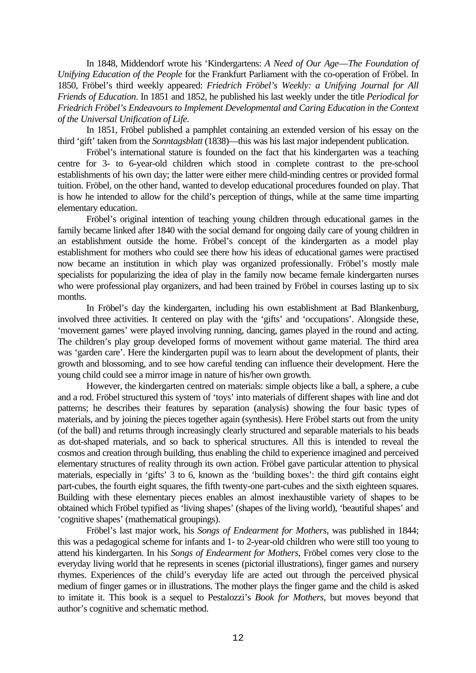In 1848, Middendorf wrote his 'Kindergartens: *A Need of Our Age*—*The Foundation of Unifying Education of the People* for the Frankfurt Parliament with the co-operation of Fröbel. In 1850, Fröbel's third weekly appeared: *Friedrich Fröbel's Weekly: a Unifying Journal for All Friends of Education*. In 1851 and 1852, he published his last weekly under the title *Periodical for Friedrich Fröbel's Endeavours to Implement Developmental and Caring Education in the Context of the Universal Unification of Life*.

In 1851, Fröbel published a pamphlet containing an extended version of his essay on the third 'gift' taken from the *Sonntagsblatt* (1838)—this was his last major independent publication.

Fröbel's international stature is founded on the fact that his kindergarten was a teaching centre for 3- to 6-year-old children which stood in complete contrast to the pre-school establishments of his own day; the latter were either mere child-minding centres or provided formal tuition. Fröbel, on the other hand, wanted to develop educational procedures founded on play. That is how he intended to allow for the child's perception of things, while at the same time imparting elementary education.

Fröbel's original intention of teaching young children through educational games in the family became linked after 1840 with the social demand for ongoing daily care of young children in an establishment outside the home. Fröbel's concept of the kindergarten as a model play establishment for mothers who could see there how his ideas of educational games were practised now became an institution in which play was organized professionally. Fröbel's mostly male specialists for popularizing the idea of play in the family now became female kindergarten nurses who were professional play organizers, and had been trained by Fröbel in courses lasting up to six months.

In Fröbel's day the kindergarten, including his own establishment at Bad Blankenburg, involved three activities. It centered on play with the 'gifts' and 'occupations'. Alongside these, 'movement games' were played involving running, dancing, games played in the round and acting. The children's play group developed forms of movement without game material. The third area was 'garden care'. Here the kindergarten pupil was to learn about the development of plants, their growth and blossoming, and to see how careful tending can influence their development. Here the young child could see a mirror image in nature of his/her own growth.

However, the kindergarten centred on materials: simple objects like a ball, a sphere, a cube and a rod. Fröbel structured this system of 'toys' into materials of different shapes with line and dot patterns; he describes their features by separation (analysis) showing the four basic types of materials, and by joining the pieces together again (synthesis). Here Fröbel starts out from the unity (of the ball) and returns through increasingly clearly structured and separable materials to his beads as dot-shaped materials, and so back to spherical structures. All this is intended to reveal the cosmos and creation through building, thus enabling the child to experience imagined and perceived elementary structures of reality through its own action. Fröbel gave particular attention to physical materials, especially in 'gifts' 3 to 6, known as the 'building boxes': the third gift contains eight part-cubes, the fourth eight squares, the fifth twenty-one part-cubes and the sixth eighteen squares. Building with these elementary pieces enables an almost inexhaustible variety of shapes to be obtained which Fröbel typified as 'living shapes' (shapes of the living world), 'beautiful shapes' and 'cognitive shapes' (mathematical groupings).

Fröbel's last major work, his *Songs of Endearment for Mothers*, was published in 1844; this was a pedagogical scheme for infants and 1- to 2-year-old children who were still too young to attend his kindergarten. In his *Songs of Endearment for Mothers*, Fröbel comes very close to the everyday living world that he represents in scenes (pictorial illustrations), finger games and nursery rhymes. Experiences of the child's everyday life are acted out through the perceived physical medium of finger games or in illustrations. The mother plays the finger game and the child is asked to imitate it. This book is a sequel to Pestalozzi's *Book for Mothers*, but moves beyond that author's cognitive and schematic method.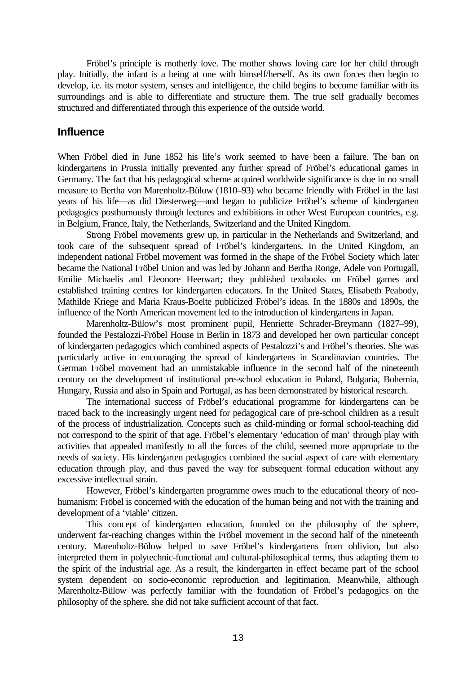Fröbel's principle is motherly love. The mother shows loving care for her child through play. Initially, the infant is a being at one with himself/herself. As its own forces then begin to develop, i.e. its motor system, senses and intelligence, the child begins to become familiar with its surroundings and is able to differentiate and structure them. The true self gradually becomes structured and differentiated through this experience of the outside world.

#### **Influence**

When Fröbel died in June 1852 his life's work seemed to have been a failure. The ban on kindergartens in Prussia initially prevented any further spread of Fröbel's educational games in Germany. The fact that his pedagogical scheme acquired worldwide significance is due in no small measure to Bertha von Marenholtz-Bülow (1810–93) who became friendly with Fröbel in the last years of his life—as did Diesterweg—and began to publicize Fröbel's scheme of kindergarten pedagogics posthumously through lectures and exhibitions in other West European countries, e.g. in Belgium, France, Italy, the Netherlands, Switzerland and the United Kingdom.

Strong Fröbel movements grew up, in particular in the Netherlands and Switzerland, and took care of the subsequent spread of Fröbel's kindergartens. In the United Kingdom, an independent national Fröbel movement was formed in the shape of the Fröbel Society which later became the National Fröbel Union and was led by Johann and Bertha Ronge, Adele von Portugall, Emilie Michaelis and Eleonore Heerwart; they published textbooks on Fröbel games and established training centres for kindergarten educators. In the United States, Elisabeth Peabody, Mathilde Kriege and Maria Kraus-Boelte publicized Fröbel's ideas. In the 1880s and 1890s, the influence of the North American movement led to the introduction of kindergartens in Japan.

Marenholtz-Bülow's most prominent pupil, Henriette Schrader-Breymann (1827–99), founded the Pestalozzi-Fröbel House in Berlin in 1873 and developed her own particular concept of kindergarten pedagogics which combined aspects of Pestalozzi's and Fröbel's theories. She was particularly active in encouraging the spread of kindergartens in Scandinavian countries. The German Fröbel movement had an unmistakable influence in the second half of the nineteenth century on the development of institutional pre-school education in Poland, Bulgaria, Bohemia, Hungary, Russia and also in Spain and Portugal, as has been demonstrated by historical research.

The international success of Fröbel's educational programme for kindergartens can be traced back to the increasingly urgent need for pedagogical care of pre-school children as a result of the process of industrialization. Concepts such as child-minding or formal school-teaching did not correspond to the spirit of that age. Fröbel's elementary 'education of man' through play with activities that appealed manifestly to all the forces of the child, seemed more appropriate to the needs of society. His kindergarten pedagogics combined the social aspect of care with elementary education through play, and thus paved the way for subsequent formal education without any excessive intellectual strain.

However, Fröbel's kindergarten programme owes much to the educational theory of neohumanism: Fröbel is concerned with the education of the human being and not with the training and development of a 'viable' citizen.

This concept of kindergarten education, founded on the philosophy of the sphere, underwent far-reaching changes within the Fröbel movement in the second half of the nineteenth century. Marenholtz-Bülow helped to save Fröbel's kindergartens from oblivion, but also interpreted them in polytechnic-functional and cultural-philosophical terms, thus adapting them to the spirit of the industrial age. As a result, the kindergarten in effect became part of the school system dependent on socio-economic reproduction and legitimation. Meanwhile, although Marenholtz-Bülow was perfectly familiar with the foundation of Fröbel's pedagogics on the philosophy of the sphere, she did not take sufficient account of that fact.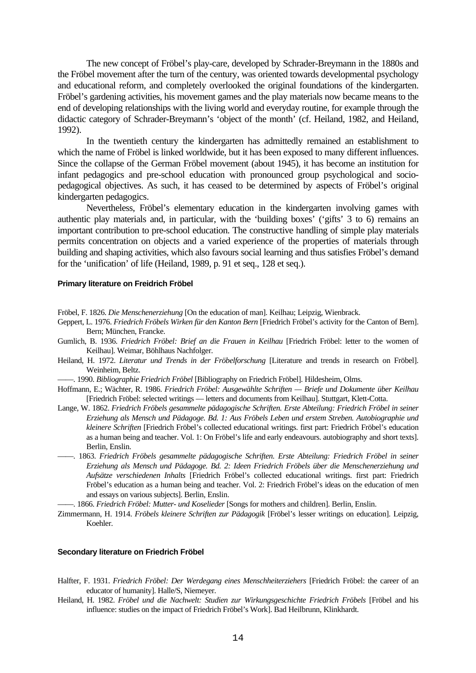The new concept of Fröbel's play-care, developed by Schrader-Breymann in the 1880s and the Fröbel movement after the turn of the century, was oriented towards developmental psychology and educational reform, and completely overlooked the original foundations of the kindergarten. Fröbel's gardening activities, his movement games and the play materials now became means to the end of developing relationships with the living world and everyday routine, for example through the didactic category of Schrader-Breymann's 'object of the month' (cf. Heiland, 1982, and Heiland, 1992).

In the twentieth century the kindergarten has admittedly remained an establishment to which the name of Fröbel is linked worldwide, but it has been exposed to many different influences. Since the collapse of the German Fröbel movement (about 1945), it has become an institution for infant pedagogics and pre-school education with pronounced group psychological and sociopedagogical objectives. As such, it has ceased to be determined by aspects of Fröbel's original kindergarten pedagogics.

Nevertheless, Fröbel's elementary education in the kindergarten involving games with authentic play materials and, in particular, with the 'building boxes' ('gifts' 3 to 6) remains an important contribution to pre-school education. The constructive handling of simple play materials permits concentration on objects and a varied experience of the properties of materials through building and shaping activities, which also favours social learning and thus satisfies Fröbel's demand for the 'unification' of life (Heiland, 1989, p. 91 et seq., 128 et seq.).

#### **Primary literature on Freidrich Fröbel**

Fröbel, F. 1826. *Die Menschenerziehung* [On the education of man]. Keilhau; Leipzig, Wienbrack.

- Geppert, L. 1976. *Friedrich Fröbels Wirken für den Kanton Bern* [Friedrich Fröbel's activity for the Canton of Bern]. Bern; München, Francke.
- Gumlich, B. 1936. *Friedrich Fröbel: Brief an die Frauen in Keilhau* [Friedrich Fröbel: letter to the women of Keilhau]. Weimar, Böhlhaus Nachfolger.
- Heiland, H. 1972. *Literatur und Trends in der Fröbelforschung* [Literature and trends in research on Fröbel]. Weinheim, Beltz.
- ——. 1990. *Bibliographie Friedrich Fröbel* [Bibliography on Friedrich Fröbel]. Hildesheim, Olms.
- Hoffmann, E.; Wächter, R. 1986. *Friedrich Fröbel: Ausgewählte Schriften Briefe und Dokumente über Keilhau* [Friedrich Fröbel: selected writings — letters and documents from Keilhau]. Stuttgart, Klett-Cotta.
- Lange, W. 1862. *Friedrich Fröbels gesammelte pädagogische Schriften. Erste Abteilung: Friedrich Fröbel in seiner Erziehung als Mensch und Pädagoge. Bd. 1: Aus Fröbels Leben und erstem Streben. Autobiographie und kleinere Schriften* [Friedrich Fröbel's collected educational writings. first part: Friedrich Fröbel's education as a human being and teacher. Vol. 1: On Fröbel's life and early endeavours. autobiography and short texts]. Berlin, Enslin.
- ——. 1863. *Friedrich Fröbels gesammelte pädagogische Schriften. Erste Abteilung: Friedrich Fröbel in seiner Erziehung als Mensch und Pädagoge. Bd. 2: Ideen Friedrich Fröbels über die Menschenerziehung und Aufsätze verschiedenen Inhalts* [Friedrich Fröbel's collected educational writings. first part: Friedrich Fröbel's education as a human being and teacher. Vol. 2: Friedrich Fröbel's ideas on the education of men and essays on various subjects]. Berlin, Enslin.

——. 1866. *Friedrich Fröbel: Mutter- und Koselieder* [Songs for mothers and children]. Berlin, Enslin.

Zimmermann, H. 1914. *Fröbels kleinere Schriften zur Pädagogik* [Fröbel's lesser writings on education]. Leipzig, Koehler.

#### **Secondary literature on Friedrich Fröbel**

- Halfter, F. 1931. *Friedrich Fröbel: Der Werdegang eines Menschheiterziehers* [Friedrich Fröbel: the career of an educator of humanity]. Halle/S, Niemeyer.
- Heiland, H. 1982. *Fröbel und die Nachwelt: Studien zur Wirkungsgeschichte Friedrich Fröbels* [Fröbel and his influence: studies on the impact of Friedrich Fröbel's Work]. Bad Heilbrunn, Klinkhardt.